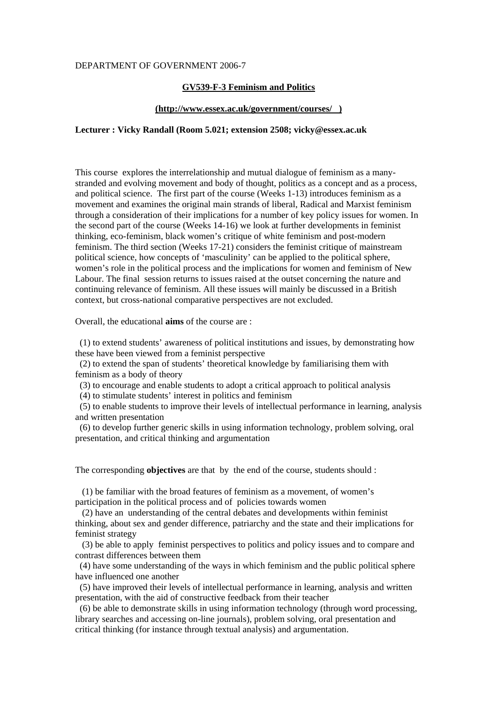#### DEPARTMENT OF GOVERNMENT 2006-7

# **GV539-F-3 Feminism and Politics**

### **(http://www.essex.ac.uk/government/courses/ )**

# **Lecturer : Vicky Randall (Room 5.021; extension 2508; vicky@essex.ac.uk**

This course explores the interrelationship and mutual dialogue of feminism as a manystranded and evolving movement and body of thought, politics as a concept and as a process, and political science. The first part of the course (Weeks 1-13) introduces feminism as a movement and examines the original main strands of liberal, Radical and Marxist feminism through a consideration of their implications for a number of key policy issues for women. In the second part of the course (Weeks 14-16) we look at further developments in feminist thinking, eco-feminism, black women's critique of white feminism and post-modern feminism. The third section (Weeks 17-21) considers the feminist critique of mainstream political science, how concepts of 'masculinity' can be applied to the political sphere, women's role in the political process and the implications for women and feminism of New Labour. The final session returns to issues raised at the outset concerning the nature and continuing relevance of feminism. All these issues will mainly be discussed in a British context, but cross-national comparative perspectives are not excluded.

Overall, the educational **aims** of the course are :

 (1) to extend students' awareness of political institutions and issues, by demonstrating how these have been viewed from a feminist perspective

 (2) to extend the span of students' theoretical knowledge by familiarising them with feminism as a body of theory

(3) to encourage and enable students to adopt a critical approach to political analysis

(4) to stimulate students' interest in politics and feminism

 (5) to enable students to improve their levels of intellectual performance in learning, analysis and written presentation

 (6) to develop further generic skills in using information technology, problem solving, oral presentation, and critical thinking and argumentation

The corresponding **objectives** are that by the end of the course, students should :

 (1) be familiar with the broad features of feminism as a movement, of women's participation in the political process and of policies towards women

 (2) have an understanding of the central debates and developments within feminist thinking, about sex and gender difference, patriarchy and the state and their implications for feminist strategy

 (3) be able to apply feminist perspectives to politics and policy issues and to compare and contrast differences between them

 (4) have some understanding of the ways in which feminism and the public political sphere have influenced one another

 (5) have improved their levels of intellectual performance in learning, analysis and written presentation, with the aid of constructive feedback from their teacher

 (6) be able to demonstrate skills in using information technology (through word processing, library searches and accessing on-line journals), problem solving, oral presentation and critical thinking (for instance through textual analysis) and argumentation.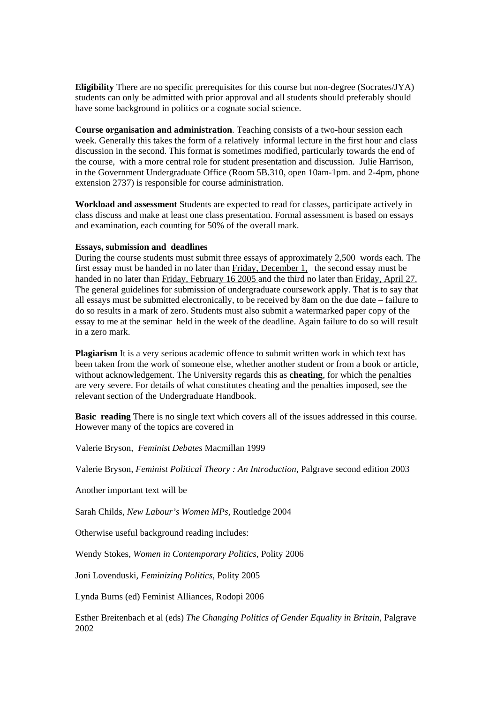**Eligibility** There are no specific prerequisites for this course but non-degree (Socrates/JYA) students can only be admitted with prior approval and all students should preferably should have some background in politics or a cognate social science.

**Course organisation and administration**. Teaching consists of a two-hour session each week. Generally this takes the form of a relatively informal lecture in the first hour and class discussion in the second. This format is sometimes modified, particularly towards the end of the course, with a more central role for student presentation and discussion. Julie Harrison, in the Government Undergraduate Office (Room 5B.310, open 10am-1pm. and 2-4pm, phone extension 2737) is responsible for course administration.

**Workload and assessment** Students are expected to read for classes, participate actively in class discuss and make at least one class presentation. Formal assessment is based on essays and examination, each counting for 50% of the overall mark.

### **Essays, submission and deadlines**

During the course students must submit three essays of approximately 2,500 words each. The first essay must be handed in no later than Friday, December 1, the second essay must be handed in no later than Friday, February 16 2005 and the third no later than Friday, April 27. The general guidelines for submission of undergraduate coursework apply. That is to say that all essays must be submitted electronically, to be received by 8am on the due date – failure to do so results in a mark of zero. Students must also submit a watermarked paper copy of the essay to me at the seminar held in the week of the deadline. Again failure to do so will result in a zero mark.

**Plagiarism** It is a very serious academic offence to submit written work in which text has been taken from the work of someone else, whether another student or from a book or article, without acknowledgement. The University regards this as **cheating**, for which the penalties are very severe. For details of what constitutes cheating and the penalties imposed, see the relevant section of the Undergraduate Handbook.

**Basic reading** There is no single text which covers all of the issues addressed in this course. However many of the topics are covered in

Valerie Bryson, *Feminist Debates* Macmillan 1999

Valerie Bryson, *Feminist Political Theory : An Introduction*, Palgrave second edition 2003

Another important text will be

Sarah Childs, *New Labour's Women MPs*, Routledge 2004

Otherwise useful background reading includes:

Wendy Stokes, *Women in Contemporary Politics*, Polity 2006

Joni Lovenduski, *Feminizing Politics*, Polity 2005

Lynda Burns (ed) Feminist Alliances, Rodopi 2006

Esther Breitenbach et al (eds) *The Changing Politics of Gender Equality in Britain*, Palgrave 2002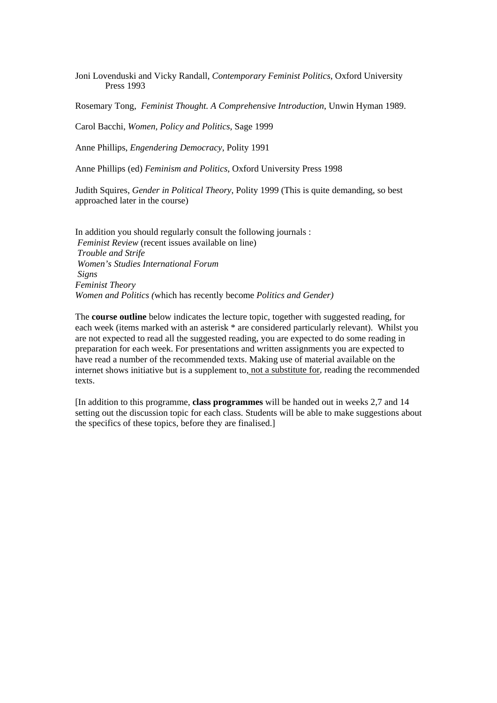Joni Lovenduski and Vicky Randall, *Contemporary Feminist Politics*, Oxford University Press 1993

Rosemary Tong, *Feminist Thought. A Comprehensive Introduction*, Unwin Hyman 1989.

Carol Bacchi, *Women, Policy and Politics*, Sage 1999

Anne Phillips, *Engendering Democracy*, Polity 1991

Anne Phillips (ed) *Feminism and Politics*, Oxford University Press 1998

Judith Squires, *Gender in Political Theory*, Polity 1999 (This is quite demanding, so best approached later in the course)

In addition you should regularly consult the following journals : *Feminist Review* (recent issues available on line) *Trouble and Strife Women's Studies International Forum Signs Feminist Theory Women and Politics (*which has recently become *Politics and Gender)* 

The **course outline** below indicates the lecture topic, together with suggested reading, for each week (items marked with an asterisk \* are considered particularly relevant). Whilst you are not expected to read all the suggested reading, you are expected to do some reading in preparation for each week. For presentations and written assignments you are expected to have read a number of the recommended texts. Making use of material available on the internet shows initiative but is a supplement to, not a substitute for, reading the recommended texts.

[In addition to this programme, **class programmes** will be handed out in weeks 2,7 and 14 setting out the discussion topic for each class. Students will be able to make suggestions about the specifics of these topics, before they are finalised.]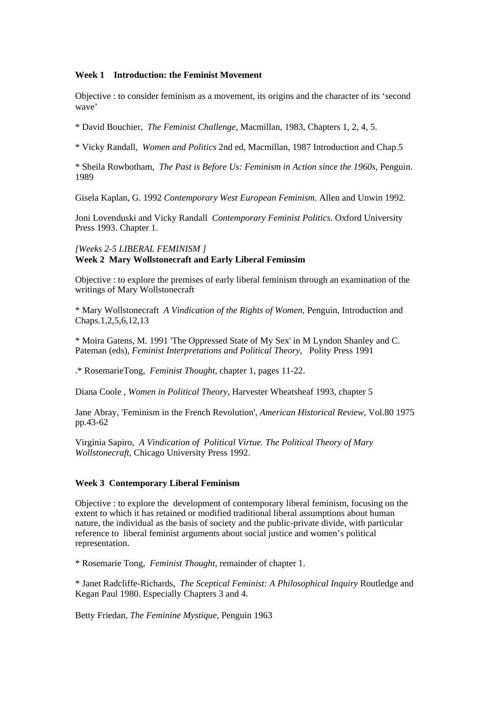### **Week 1 Introduction: the Feminist Movement**

Objective : to consider feminism as a movement, its origins and the character of its 'second wave'

\* David Bouchier, *The Feminist Challenge*, Macmillan, 1983, Chapters 1, 2, 4, 5.

\* Vicky Randall, *Women and Politics* 2nd ed, Macmillan, 1987 Introduction and Chap.5

\* Sheila Rowbotham, *The Past is Before Us: Feminism in Action since the 1960s*, Penguin. 1989

Gisela Kaplan, G. 1992 *Contemporary West European Feminism*. Allen and Unwin 1992.

Joni Lovenduski and Vicky Randall *Contemporary Feminist Politics*. Oxford University Press 1993. Chapter 1.

### *[Weeks 2-5 LIBERAL FEMINISM ]*  **Week 2 Mary Wollstonecraft and Early Liberal Feminsim**

Objective : to explore the premises of early liberal feminism through an examination of the writings of Mary Wollstonecraft

\* Mary Wollstonecraft *A Vindication of the Rights of Women*, Penguin, Introduction and Chaps.1,2,5,6,12,13

\* Moira Gatens, M. 1991 'The Oppressed State of My Sex' in M Lyndon Shanley and C. Pateman (eds), *Feminist Interpretations and Political Theory*, Polity Press 1991

.\* RosemarieTong, *Feminist Thought*, chapter 1, pages 11-22.

Diana Coole , *Women in Political Theory*, Harvester Wheatsheaf 1993, chapter 5

Jane Abray, 'Feminism in the French Revolution', *American Historical Review*, Vol.80 1975 pp.43-62

Virginia Sapiro, *A Vindication of Political Virtue. The Political Theory of Mary Wollstonecraft*, Chicago University Press 1992.

# **Week 3 Contemporary Liberal Feminism**

Objective : to explore the development of contemporary liberal feminism, focusing on the extent to which it has retained or modified traditional liberal assumptions about human nature, the individual as the basis of society and the public-private divide, with particular reference to liberal feminist arguments about social justice and women's political representation.

\* Rosemarie Tong, *Feminist Thought*, remainder of chapter 1.

\* Janet Radcliffe-Richards, *The Sceptical Feminist: A Philosophical Inquiry* Routledge and Kegan Paul 1980. Especially Chapters 3 and 4.

Betty Friedan, *The Feminine Mystique*, Penguin 1963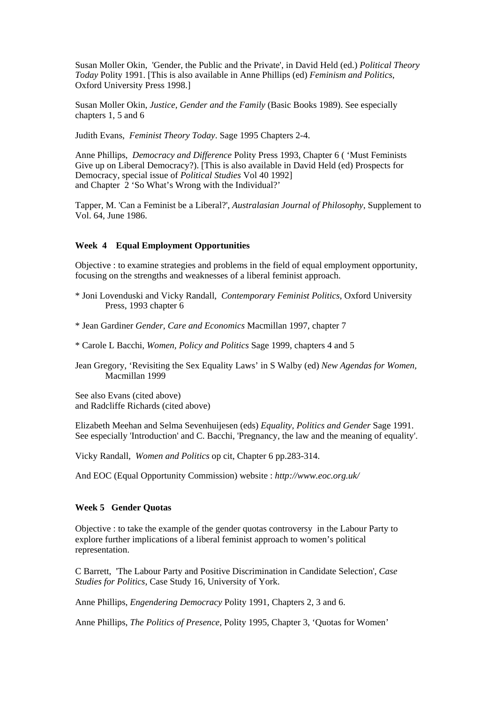Susan Moller Okin, 'Gender, the Public and the Private', in David Held (ed.) *Political Theory Today* Polity 1991. [This is also available in Anne Phillips (ed) *Feminism and Politics*, Oxford University Press 1998.]

Susan Moller Okin, *Justice, Gender and the Family* (Basic Books 1989). See especially chapters 1, 5 and 6

Judith Evans, *Feminist Theory Today*. Sage 1995 Chapters 2-4.

Anne Phillips, *Democracy and Difference* Polity Press 1993, Chapter 6 ( 'Must Feminists Give up on Liberal Democracy?). [This is also available in David Held (ed) Prospects for Democracy, special issue of *Political Studies* Vol 40 1992] and Chapter 2 'So What's Wrong with the Individual?'

Tapper, M. 'Can a Feminist be a Liberal?', *Australasian Journal of Philosophy*, Supplement to Vol. 64, June 1986.

# **Week 4 Equal Employment Opportunities**

Objective : to examine strategies and problems in the field of equal employment opportunity, focusing on the strengths and weaknesses of a liberal feminist approach.

- \* Joni Lovenduski and Vicky Randall, *Contemporary Feminist Politics*, Oxford University Press, 1993 chapter 6
- \* Jean Gardiner *Gender, Care and Economics* Macmillan 1997, chapter 7
- \* Carole L Bacchi, *Women, Policy and Politics* Sage 1999, chapters 4 and 5

Jean Gregory, 'Revisiting the Sex Equality Laws' in S Walby (ed) *New Agendas for Women,* Macmillan 1999

See also Evans (cited above) and Radcliffe Richards (cited above)

Elizabeth Meehan and Selma Sevenhuijesen (eds) *Equality, Politics and Gender* Sage 1991. See especially 'Introduction' and C. Bacchi, 'Pregnancy, the law and the meaning of equality'.

Vicky Randall, *Women and Politics* op cit, Chapter 6 pp.283-314.

And EOC (Equal Opportunity Commission) website : *http://www.eoc.org.uk/* 

## **Week 5 Gender Quotas**

Objective : to take the example of the gender quotas controversy in the Labour Party to explore further implications of a liberal feminist approach to women's political representation.

C Barrett, 'The Labour Party and Positive Discrimination in Candidate Selection', *Case Studies for Politics*, Case Study 16, University of York.

Anne Phillips, *Engendering Democracy* Polity 1991, Chapters 2, 3 and 6.

Anne Phillips, *The Politics of Presence*, Polity 1995, Chapter 3, 'Quotas for Women'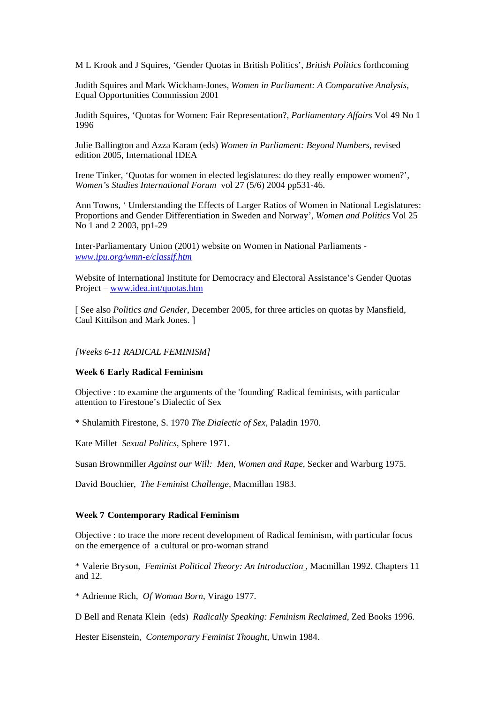M L Krook and J Squires, 'Gender Quotas in British Politics', *British Politics* forthcoming

Judith Squires and Mark Wickham-Jones, *Women in Parliament: A Comparative Analysis,* Equal Opportunities Commission 2001

Judith Squires, 'Quotas for Women: Fair Representation?, *Parliamentary Affairs* Vol 49 No 1 1996

Julie Ballington and Azza Karam (eds) *Women in Parliament: Beyond Numbers*, revised edition 2005, International IDEA

Irene Tinker, 'Quotas for women in elected legislatures: do they really empower women?', *Women's Studies International Forum* vol 27 (5/6) 2004 pp531-46.

Ann Towns, ' Understanding the Effects of Larger Ratios of Women in National Legislatures: Proportions and Gender Differentiation in Sweden and Norway', *Women and Politics* Vol 25 No 1 and 2 2003, pp1-29

Inter-Parliamentary Union (2001) website on Women in National Parliaments *[www.ipu.org/wmn-e/classif.htm](http://www.ipu.org/wmn-e/classif.htm)*

Website of International Institute for Democracy and Electoral Assistance's Gender Quotas Project – [www.idea.int/quotas.htm](http://www.idea.int/quotas.htm)

[ See also *Politics and Gender*, December 2005, for three articles on quotas by Mansfield, Caul Kittilson and Mark Jones. ]

*[Weeks 6-11 RADICAL FEMINISM]* 

#### **Week 6 Early Radical Feminism**

Objective : to examine the arguments of the 'founding' Radical feminists, with particular attention to Firestone's Dialectic of Sex

\* Shulamith Firestone, S. 1970 *The Dialectic of Sex*, Paladin 1970.

Kate Millet *Sexual Politics*, Sphere 1971.

Susan Brownmiller *Against our Will: Men, Women and Rape*, Secker and Warburg 1975.

David Bouchier, *The Feminist Challenge*, Macmillan 1983.

### **Week 7 Contemporary Radical Feminism**

Objective : to trace the more recent development of Radical feminism, with particular focus on the emergence of a cultural or pro-woman strand

\* Valerie Bryson, *Feminist Political Theory: An Introduction* , Macmillan 1992. Chapters 11 and 12.

\* Adrienne Rich, *Of Woman Born*, Virago 1977.

D Bell and Renata Klein (eds) *Radically Speaking: Feminism Reclaimed*, Zed Books 1996.

Hester Eisenstein, *Contemporary Feminist Thought*, Unwin 1984.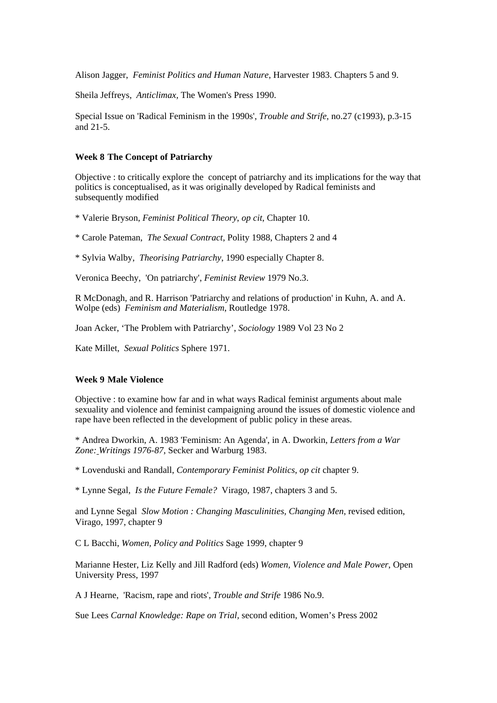Alison Jagger, *Feminist Politics and Human Nature*, Harvester 1983. Chapters 5 and 9.

Sheila Jeffreys, *Anticlimax,* The Women's Press 1990.

Special Issue on 'Radical Feminism in the 1990s', *Trouble and Strife*, no.27 (c1993), p.3-15 and 21-5.

#### **Week 8 The Concept of Patriarchy**

Objective : to critically explore the concept of patriarchy and its implications for the way that politics is conceptualised, as it was originally developed by Radical feminists and subsequently modified

\* Valerie Bryson, *Feminist Political Theory*, *op cit*, Chapter 10.

\* Carole Pateman, *The Sexual Contract*, Polity 1988, Chapters 2 and 4

\* Sylvia Walby, *Theorising Patriarchy*, 1990 especially Chapter 8.

Veronica Beechy, 'On patriarchy', *Feminist Review* 1979 No.3.

R McDonagh, and R. Harrison 'Patriarchy and relations of production' in Kuhn, A. and A. Wolpe (eds) *Feminism and Materialism*, Routledge 1978.

Joan Acker, 'The Problem with Patriarchy', *Sociology* 1989 Vol 23 No 2

Kate Millet, *Sexual Politics* Sphere 1971.

## **Week 9 Male Violence**

Objective : to examine how far and in what ways Radical feminist arguments about male sexuality and violence and feminist campaigning around the issues of domestic violence and rape have been reflected in the development of public policy in these areas.

\* Andrea Dworkin, A. 1983 'Feminism: An Agenda', in A. Dworkin, *Letters from a War Zone: Writings 1976-87*, Secker and Warburg 1983.

\* Lovenduski and Randall, *Contemporary Feminist Politics*, *op cit* chapter 9.

\* Lynne Segal, *Is the Future Female?* Virago, 1987, chapters 3 and 5.

and Lynne Segal *Slow Motion : Changing Masculinities, Changing Men*, revised edition, Virago, 1997, chapter 9

C L Bacchi, *Women, Policy and Politics* Sage 1999, chapter 9

Marianne Hester, Liz Kelly and Jill Radford (eds) *Women, Violence and Male Power*, Open University Press, 1997

A J Hearne, 'Racism, rape and riots', *Trouble and Strife* 1986 No.9.

Sue Lees *Carnal Knowledge: Rape on Trial,* second edition, Women's Press 2002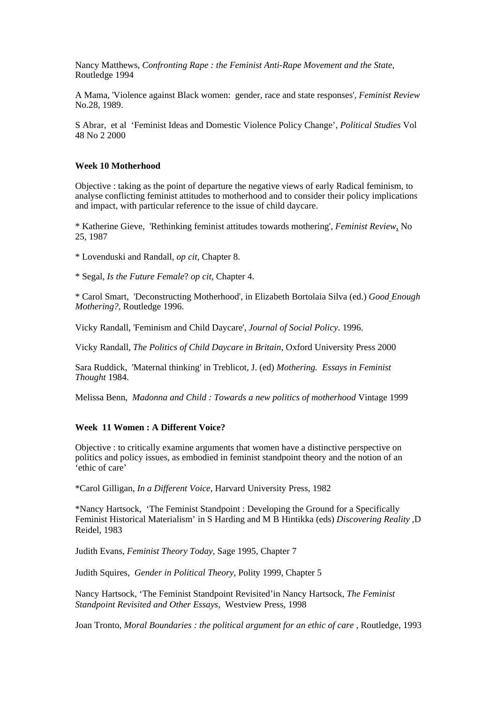Nancy Matthews, *Confronting Rape : the Feminist Anti-Rape Movement and the State,* Routledge 1994

A Mama, 'Violence against Black women: gender, race and state responses'*, Feminist Review* No.28, 1989.

S Abrar, et al 'Feminist Ideas and Domestic Violence Policy Change', *Political Studies* Vol 48 No 2 2000

### **Week 10 Motherhood**

Objective : taking as the point of departure the negative views of early Radical feminism, to analyse conflicting feminist attitudes to motherhood and to consider their policy implications and impact, with particular reference to the issue of child daycare.

\* Katherine Gieve, 'Rethinking feminist attitudes towards mothering', *Feminist Review*, No 25, 1987

\* Lovenduski and Randall, *op cit,* Chapter 8.

\* Segal, *Is the Future Female*? *op cit,* Chapter 4.

\* Carol Smart, 'Deconstructing Motherhood', in Elizabeth Bortolaia Silva (ed.) *Good Enough Mothering?,* Routledge 1996.

Vicky Randall, 'Feminism and Child Daycare', *Journal of Social Policy*. 1996.

Vicky Randall, *The Politics of Child Daycare in Britain*, Oxford University Press 2000

Sara Ruddick, 'Maternal thinking' in Treblicot, J. (ed) *Mothering. Essays in Feminist Thought* 1984.

Melissa Benn, *Madonna and Child : Towards a new politics of motherhood* Vintage 1999

### **Week 11 Women : A Different Voice?**

Objective : to critically examine arguments that women have a distinctive perspective on politics and policy issues, as embodied in feminist standpoint theory and the notion of an 'ethic of care'

\*Carol Gilligan, *In a Different Voice*, Harvard University Press, 1982

\*Nancy Hartsock, 'The Feminist Standpoint : Developing the Ground for a Specifically Feminist Historical Materialism' in S Harding and M B Hintikka (eds) *Discovering Reality* ,D Reidel, 1983

Judith Evans, *Feminist Theory Today,* Sage 1995, Chapter 7

Judith Squires, *Gender in Political Theory*, Polity 1999, Chapter 5

Nancy Hartsock, 'The Feminist Standpoint Revisited'in Nancy Hartsock, *The Feminist Standpoint Revisited and Other Essays*, Westview Press, 1998

Joan Tronto, *Moral Boundaries : the political argument for an ethic of care* , Routledge, 1993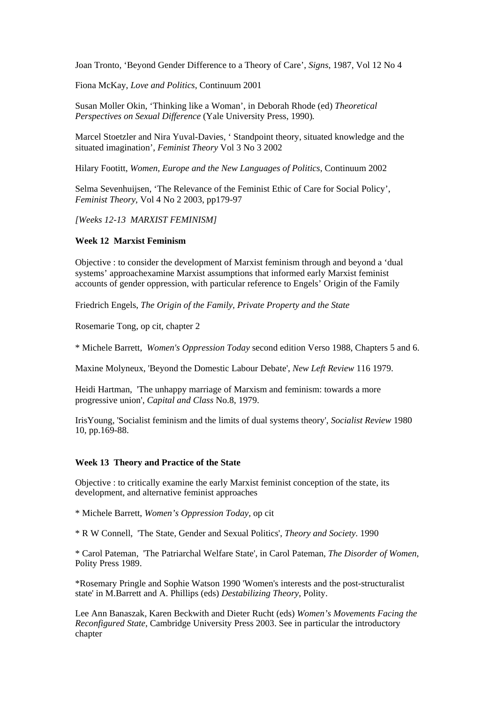Joan Tronto, 'Beyond Gender Difference to a Theory of Care', *Signs*, 1987, Vol 12 No 4

Fiona McKay, *Love and Politics*, Continuum 2001

Susan Moller Okin, 'Thinking like a Woman', in Deborah Rhode (ed) *Theoretical Perspectives on Sexual Difference* (Yale University Press, 1990)*.* 

Marcel Stoetzler and Nira Yuval-Davies, ' Standpoint theory, situated knowledge and the situated imagination', *Feminist Theory* Vol 3 No 3 2002

Hilary Footitt, *Women, Europe and the New Languages of Politics*, Continuum 2002

Selma Sevenhuijsen, 'The Relevance of the Feminist Ethic of Care for Social Policy', *Feminist Theory*, Vol 4 No 2 2003, pp179-97

*[Weeks 12-13 MARXIST FEMINISM]* 

#### **Week 12 Marxist Feminism**

Objective : to consider the development of Marxist feminism through and beyond a 'dual systems' approachexamine Marxist assumptions that informed early Marxist feminist accounts of gender oppression, with particular reference to Engels' Origin of the Family

Friedrich Engels, *The Origin of the Family, Private Property and the State* 

Rosemarie Tong, op cit, chapter 2

\* Michele Barrett, *Women's Oppression Today* second edition Verso 1988, Chapters 5 and 6.

Maxine Molyneux, 'Beyond the Domestic Labour Debate', *New Left Review* 116 1979.

Heidi Hartman, 'The unhappy marriage of Marxism and feminism: towards a more progressive union', *Capital and Class* No.8, 1979.

IrisYoung, 'Socialist feminism and the limits of dual systems theory', *Socialist Review* 1980 10, pp.169-88.

### **Week 13 Theory and Practice of the State**

Objective : to critically examine the early Marxist feminist conception of the state, its development, and alternative feminist approaches

\* Michele Barrett, *Women's Oppression Today*, op cit

\* R W Connell, 'The State, Gender and Sexual Politics', *Theory and Society*. 1990

\* Carol Pateman, 'The Patriarchal Welfare State', in Carol Pateman, *The Disorder of Women*, Polity Press 1989.

\*Rosemary Pringle and Sophie Watson 1990 'Women's interests and the post-structuralist state' in M.Barrett and A. Phillips (eds) *Destabilizing Theory*, Polity.

Lee Ann Banaszak, Karen Beckwith and Dieter Rucht (eds) *Women's Movements Facing the Reconfigured State*, Cambridge University Press 2003. See in particular the introductory chapter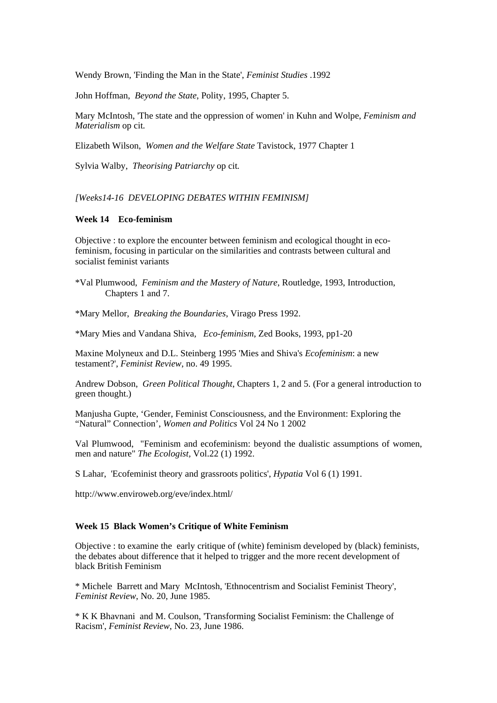Wendy Brown, 'Finding the Man in the State', *Feminist Studies* .1992

John Hoffman, *Beyond the State*, Polity, 1995, Chapter 5.

Mary McIntosh, 'The state and the oppression of women' in Kuhn and Wolpe, *Feminism and Materialism* op cit*.*

Elizabeth Wilson, *Women and the Welfare State* Tavistock, 1977 Chapter 1

Sylvia Walby, *Theorising Patriarchy* op cit*.* 

*[Weeks14-16 DEVELOPING DEBATES WITHIN FEMINISM]*

# **Week 14 Eco-feminism**

Objective : to explore the encounter between feminism and ecological thought in ecofeminism, focusing in particular on the similarities and contrasts between cultural and socialist feminist variants

- \*Val Plumwood, *Feminism and the Mastery of Nature*, Routledge, 1993, Introduction, Chapters 1 and 7.
- \*Mary Mellor, *Breaking the Boundaries*, Virago Press 1992.

\*Mary Mies and Vandana Shiva*, Eco-feminism*, Zed Books, 1993, pp1-20

Maxine Molyneux and D.L. Steinberg 1995 'Mies and Shiva's *Ecofeminism*: a new testament?', *Feminist Review*, no. 49 1995.

Andrew Dobson, *Green Political Thought*, Chapters 1, 2 and 5. (For a general introduction to green thought.)

Manjusha Gupte, 'Gender, Feminist Consciousness, and the Environment: Exploring the "Natural" Connection', *Women and Politics* Vol 24 No 1 2002

Val Plumwood, "Feminism and ecofeminism: beyond the dualistic assumptions of women, men and nature" *The Ecologist,* Vol.22 (1) 1992.

S Lahar, 'Ecofeminist theory and grassroots politics', *Hypatia* Vol 6 (1) 1991.

http://www.enviroweb.org/eve/index.html/

# **Week 15 Black Women's Critique of White Feminism**

Objective : to examine the early critique of (white) feminism developed by (black) feminists, the debates about difference that it helped to trigger and the more recent development of black British Feminism

\* Michele Barrett and Mary McIntosh, 'Ethnocentrism and Socialist Feminist Theory', *Feminist Review*, No. 20, June 1985.

\* K K Bhavnani and M. Coulson, 'Transforming Socialist Feminism: the Challenge of Racism', *Feminist Review*, No. 23, June 1986.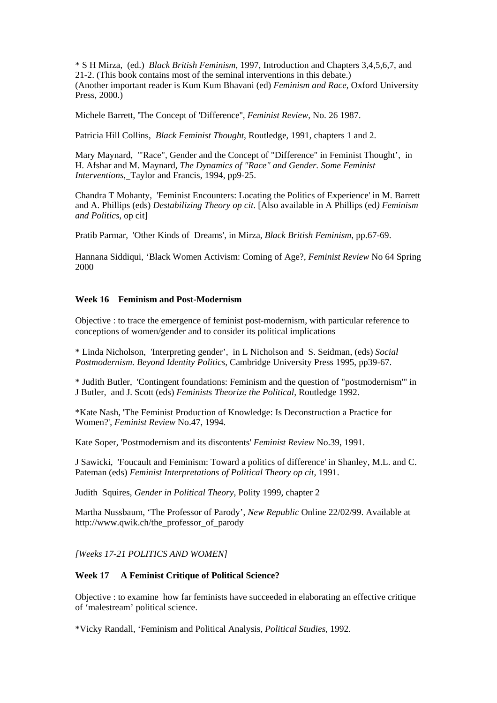\* S H Mirza, (ed.) *Black British Feminism*, 1997, Introduction and Chapters 3,4,5,6,7, and 21-2. (This book contains most of the seminal interventions in this debate.) (Another important reader is Kum Kum Bhavani (ed) *Feminism and Race*, Oxford University Press, 2000.)

Michele Barrett, 'The Concept of 'Difference'', *Feminist Review*, No. 26 1987.

Patricia Hill Collins, *Black Feminist Thought*, Routledge, 1991, chapters 1 and 2.

Mary Maynard, '"Race", Gender and the Concept of "Difference" in Feminist Thought', in H. Afshar and M. Maynard, *The Dynamics of "Race" and Gender. Some Feminist Interventions*, Taylor and Francis, 1994, pp9-25.

Chandra T Mohanty, 'Feminist Encounters: Locating the Politics of Experience' in M. Barrett and A. Phillips (eds) *Destabilizing Theory op cit*. [Also available in A Phillips (ed*) Feminism and Politics*, op cit]

Pratib Parmar, 'Other Kinds of Dreams', in Mirza, *Black British Feminism*, pp.67-69.

Hannana Siddiqui, 'Black Women Activism: Coming of Age?, *Feminist Review* No 64 Spring 2000

### **Week 16 Feminism and Post-Modernism**

Objective : to trace the emergence of feminist post-modernism, with particular reference to conceptions of women/gender and to consider its political implications

\* Linda Nicholson, 'Interpreting gender', in L Nicholson and S. Seidman, (eds) *Social Postmodernism. Beyond Identity Politics*, Cambridge University Press 1995, pp39-67.

\* Judith Butler, 'Contingent foundations: Feminism and the question of "postmodernism"' in J Butler, and J. Scott (eds) *Feminists Theorize the Political*, Routledge 1992.

\*Kate Nash, 'The Feminist Production of Knowledge: Is Deconstruction a Practice for Women?', *Feminist Review* No.47, 1994.

Kate Soper, 'Postmodernism and its discontents' *Feminist Review* No.39, 1991.

J Sawicki, 'Foucault and Feminism: Toward a politics of difference' in Shanley, M.L. and C. Pateman (eds) *Feminist Interpretations of Political Theory op cit,* 1991.

Judith Squires, *Gender in Political Theory*, Polity 1999, chapter 2

Martha Nussbaum, 'The Professor of Parody', *New Republic* Online 22/02/99. Available at http://www.qwik.ch/the\_professor\_of\_parody

*[Weeks 17-21 POLITICS AND WOMEN]* 

### **Week 17 A Feminist Critique of Political Science?**

Objective : to examine how far feminists have succeeded in elaborating an effective critique of 'malestream' political science.

\*Vicky Randall, 'Feminism and Political Analysis, *Political Studies*, 1992.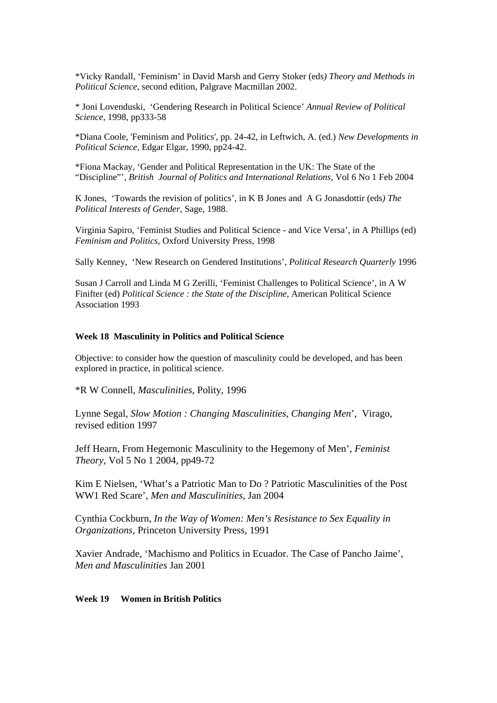\*Vicky Randall, 'Feminism' in David Marsh and Gerry Stoker (eds*) Theory and Methods in Political Science*, second edition, Palgrave Macmillan 2002.

\* Joni Lovenduski, 'Gendering Research in Political Science' *Annual Review of Political Science,* 1998, pp333-58

\*Diana Coole, 'Feminism and Politics', pp. 24-42, in Leftwich, A. (ed.) *New Developments in Political Science,* Edgar Elgar, 1990, pp24-42.

\*Fiona Mackay, 'Gender and Political Representation in the UK: The State of the "Discipline"', *British Journal of Politics and International Relations*, Vol 6 No 1 Feb 2004

K Jones, 'Towards the revision of politics', in K B Jones and A G Jonasdottir (eds*) The Political Interests of Gender*, Sage, 1988.

Virginia Sapiro, 'Feminist Studies and Political Science - and Vice Versa', in A Phillips (ed) *Feminism and Politics*, Oxford University Press, 1998

Sally Kenney, 'New Research on Gendered Institutions', *Political Research Quarterly* 1996

Susan J Carroll and Linda M G Zerilli, 'Feminist Challenges to Political Science', in A W Finifter (ed) *Political Science : the State of the Discipline*, American Political Science Association 1993

# **Week 18 Masculinity in Politics and Political Science**

Objective: to consider how the question of masculinity could be developed, and has been explored in practice, in political science.

\*R W Connell, *Masculinities*, Polity, 1996

Lynne Segal, *Slow Motion : Changing Masculinities, Changing Men*', Virago, revised edition 1997

Jeff Hearn, From Hegemonic Masculinity to the Hegemony of Men', *Feminist Theory*, Vol 5 No 1 2004, pp49-72

Kim E Nielsen, 'What's a Patriotic Man to Do ? Patriotic Masculinities of the Post WW1 Red Scare', *Men and Masculinities*, Jan 2004

Cynthia Cockburn, *In the Way of Women: Men's Resistance to Sex Equality in Organizations*, Princeton University Press, 1991

Xavier Andrade, 'Machismo and Politics in Ecuador. The Case of Pancho Jaime', *Men and Masculinities* Jan 2001

### **Week 19 Women in British Politics**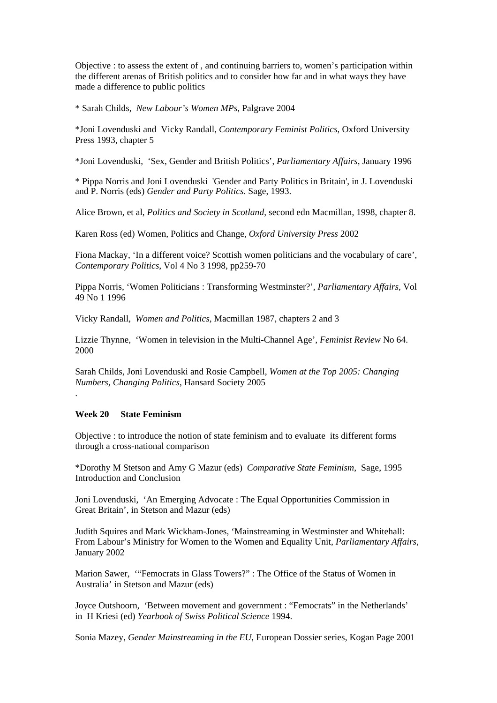Objective : to assess the extent of , and continuing barriers to, women's participation within the different arenas of British politics and to consider how far and in what ways they have made a difference to public politics

\* Sarah Childs*, New Labour's Women MPs*, Palgrave 2004

\*Joni Lovenduski and Vicky Randall, *Contemporary Feminist Politics*, Oxford University Press 1993, chapter 5

\*Joni Lovenduski, 'Sex, Gender and British Politics', *Parliamentary Affairs*, January 1996

\* Pippa Norris and Joni Lovenduski 'Gender and Party Politics in Britain', in J. Lovenduski and P. Norris (eds) *Gender and Party Politics*. Sage, 1993.

Alice Brown, et al, *Politics and Society in Scotland*, second edn Macmillan, 1998, chapter 8.

Karen Ross (ed) Women, Politics and Change, *Oxford University Press* 2002

Fiona Mackay, 'In a different voice? Scottish women politicians and the vocabulary of care', *Contemporary Politics*, Vol 4 No 3 1998, pp259-70

Pippa Norris, 'Women Politicians : Transforming Westminster?', *Parliamentary Affairs*, Vol 49 No 1 1996

Vicky Randall, *Women and Politics*, Macmillan 1987, chapters 2 and 3

Lizzie Thynne, 'Women in television in the Multi-Channel Age', *Feminist Review* No 64. 2000

Sarah Childs, Joni Lovenduski and Rosie Campbell, *Women at the Top 2005: Changing Numbers, Changing Politics*, Hansard Society 2005

#### **Week 20 State Feminism**

.

Objective : to introduce the notion of state feminism and to evaluate its different forms through a cross-national comparison

\*Dorothy M Stetson and Amy G Mazur (eds) *Comparative State Feminism*, Sage, 1995 Introduction and Conclusion

Joni Lovenduski, 'An Emerging Advocate : The Equal Opportunities Commission in Great Britain', in Stetson and Mazur (eds)

Judith Squires and Mark Wickham-Jones, 'Mainstreaming in Westminster and Whitehall: From Labour's Ministry for Women to the Women and Equality Unit, *Parliamentary Affairs,* January 2002

Marion Sawer, '"Femocrats in Glass Towers?" : The Office of the Status of Women in Australia' in Stetson and Mazur (eds)

Joyce Outshoorn, 'Between movement and government : "Femocrats" in the Netherlands' in H Kriesi (ed) *Yearbook of Swiss Political Science* 1994.

Sonia Mazey, *Gender Mainstreaming in the EU*, European Dossier series, Kogan Page 2001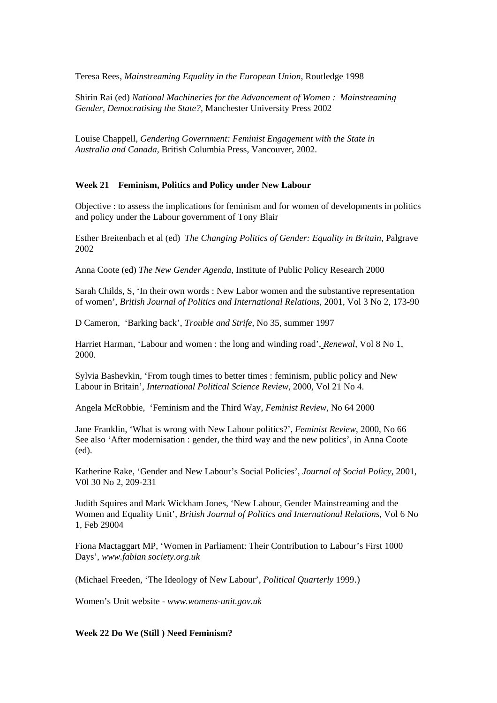Teresa Rees, *Mainstreaming Equality in the European Union*, Routledge 1998

Shirin Rai (ed) *National Machineries for the Advancement of Women : Mainstreaming Gender, Democratising the State?,* Manchester University Press 2002

Louise Chappell, *Gendering Government: Feminist Engagement with the State in Australia and Canada*, British Columbia Press, Vancouver, 2002.

### **Week 21 Feminism, Politics and Policy under New Labour**

Objective : to assess the implications for feminism and for women of developments in politics and policy under the Labour government of Tony Blair

Esther Breitenbach et al (ed) *The Changing Politics of Gender: Equality in Britain*, Palgrave 2002

Anna Coote (ed) *The New Gender Agenda,* Institute of Public Policy Research 2000

Sarah Childs, S, 'In their own words : New Labor women and the substantive representation of women', *British Journal of Politics and International Relations*, 2001, Vol 3 No 2, 173-90

D Cameron, 'Barking back', *Trouble and Strife*, No 35, summer 1997

Harriet Harman, 'Labour and women : the long and winding road', *Renewal*, Vol 8 No 1, 2000.

Sylvia Bashevkin, 'From tough times to better times : feminism, public policy and New Labour in Britain', *International Political Science Review*, 2000, Vol 21 No 4.

Angela McRobbie, 'Feminism and the Third Way, *Feminist Review*, No 64 2000

Jane Franklin, 'What is wrong with New Labour politics?', *Feminist Review*, 2000, No 66 See also 'After modernisation : gender, the third way and the new politics', in Anna Coote (ed).

Katherine Rake, 'Gender and New Labour's Social Policies', *Journal of Social Policy*, 2001, V0l 30 No 2, 209-231

Judith Squires and Mark Wickham Jones, 'New Labour, Gender Mainstreaming and the Women and Equality Unit', *British Journal of Politics and International Relations*, Vol 6 No 1, Feb 29004

Fiona Mactaggart MP, 'Women in Parliament: Their Contribution to Labour's First 1000 Days', *www.fabian society.org.uk* 

(Michael Freeden, 'The Ideology of New Labour', *Political Quarterly* 1999.)

Women's Unit website - *www.womens-unit.gov.uk* 

### **Week 22 Do We (Still ) Need Feminism?**